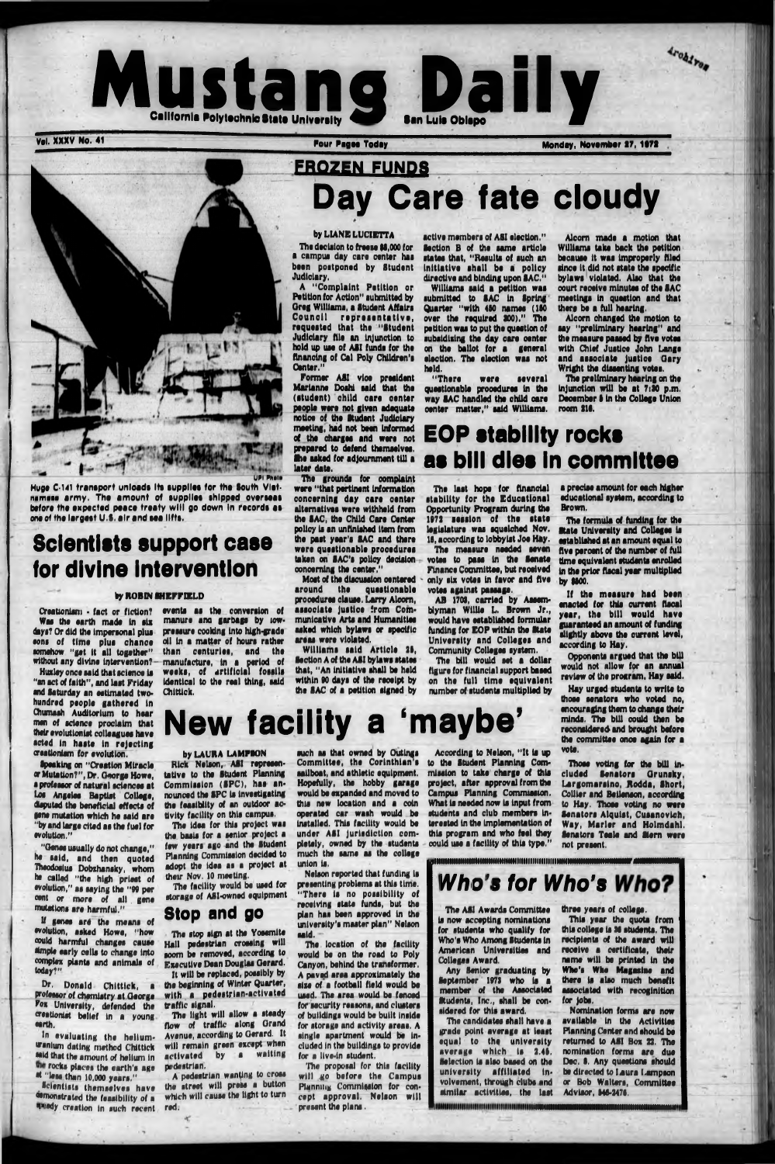

## **FROZEN FUNDS Day Care fate cloudy**

The decision to freeze \$6,000 for a campui day cara canter hae been postponed by Student Judiciary.

#### by L1ANB LUCIETTA

Former ASI vice president Marianna Doshl said that the (student) child cara center people were not given adequate notice of the Student Judiciary meeting, had not bean informed of the charges and were not prepared to defend themselves, the asked for adjournment till a later data.

A "Complaint Petition or Petition for Action" submitted by Oreg Williams, a Student Affaire Council representative, requested that the "Student Judiciary file an injunction to hold up uae of ASI funds for the financing of Cal Poly Children's



The grounds for complaint were "that pertinent information concerning day cara oenter alternatives were withheld from the SAC, the Child Cara Center policy is an unfinished item from the past year's SAC and there ware questionable procedures taken on SAC's policy decision concerning the center."

Creationism • fact or fiction? Was the earth made In six dsys? Or did the Impersonal plus eons of time plus chance somehow "get it all together" without any divine intervention?-

Most of the discussion centered around the questionable procedures clausa. Larry Alcorn, associate justice from Communicative Arts and Humanities asked which bylaws or specific areas were violated.

Williams said Article 28, Section A of the A8I bylaws states that, "An initiative shall be held within 90 days of the receipt by the SAC of a petition signed by

In evaluating the heliumuranium dating method Chlttlck said that the amount of helium in the rocks places the earth's age at "less than 10,000 years."

Scientists themselves have demonstrated the feasibility of a wedy creation in such recent

Huge C-141 transport unloads Its supplies for the South Vietnamese army. The amount of supplies shipped overseas before the expected peace treaty will go down In records as one of the largest U.S. a ir and sea lifts.

## **Scientists support case for divine intervention**

#### by ROBIN SHEFFIELD

were several questionable procedures in the way SAC handled the child oare oenter matter," said Williams.

Huxley once said that science is "an act of faith", and last Friday and Saturday an estimated twohundred people gathered in Chumssh Auditorium to hear men of science proclaim that their evolutionist colleagues have acted In haste In rejecting creationism for evolution.

## **EOP stability rocks as bill dies in committee**

Speaking on "Creation Miracle or Mutation?", Dr. George Howe, s professor of natural sciences at Los Angeles Baptist College, disputed the beneficial effects of gene mutation which he said are "by and large cited as the fuel for evolution."

"Genes usually do not change," he said, and then quoted Theodosius Dobzhansky, whom ho called "the high priest of •volution," as saying the "99 per cent or more of all gene mutations ere harmful."

The idea for this project was the basis for a senior project a few years ago end the Student Planning Commission decided to adopt the idea as a project at their Nov. 10 meeting.

If genes are the means of •volution, asked Howe, "how could harmful changes cause simple early cells to change into complex plants and animals of today?"

Dr, Donald Chlttlck, a professor of chemistry at George Fox University, defended the crestlonlst belief In a young •srth.

> A pedestrian wanting to cross the street will press a button which will cause the light to turn red.

> > ×

active members of ASI election." Section B of the same article states that, "Results of such an initiative shall be a policy directive and binding upon SAC."

such as that owned by Outings Committee, the Corinthian's sailboat, and athletic equipment. would be expanded and moved to Campus Planning Commission. this new location and a coin operated car wash would be Installed. This facility would be under ASI Jurisdiction completely, owned by the students much the same as the college union is. Nelson reported that funding is presenting problems at this time. "There is no possibility of receiving state funds, but the plan has been approved in the university's master plan" Nelson said. The location of the facility would be on the road to Poly Canyon, behind the transformer. A paved area approximately the size of a football field would be used. The area would be fenced for security reasons, and clusters of buildings would be built Inside for storage and activity areas. A single apartment would be included In the buildings to provide for a live-in student.

The proposal for this facility will go before the Campus Planning Commission for concept approval. Nelson will present the plans.

Williams said a petition was submitted to SAC In Spring Quarter "with 460 names (160 over the required 800)." The petition was to put the question of subsidising the day care center on the ballot for a general election. The election was not held.

> If the measure had been enacted for this current fiscal year, the bill would have guaranteed an amount of funding slightly above the current level, according to Hay.

Alcorn made a motion that Williams take back the petition because it was Improperly filed since it did not state the specific bylaws violated. Also that the court receive minutee of the SAC meetings in question and that there be a full hearing.

Archives

Alcorn changed the motion to say "preliminary hearing" and the measure passed by five votes with Chief Justice John Lange and associate Justice Gary Wright the dissenting votes.

The preliminary hearing on the injunction will be at 7:30 p.m. December 6 In the College Union room 216.

The last hope for financial stability for the Educational Opportunity Program during the 1072 session of the state legislature was squelched Nov. 16, according to lobbyist Joe Hay.

> three years of college. This year the quota from this college is 96 students. The recipients of the award will receive a certificate, their name will be printed in the Who's Who Magaslae and there la also much benefit associated with recoginition

The measure needed seven votes to pass in the Senate Finance Committee, but reoelved only six votes in favor and five votes against passage.

AB 1702, carried by Assemblyman Willie L. Brown Jr., would have established formular funding for EOP within the State University and Colleges and Community Colleges system.

The bill would set a dollar figure for financial support based on the full time equivalent number of students multiplied by

# **New facility a 'm aybe'**

### by LAURA LAMPION Rick Nelson, ASI representative to the Student Planning Commission (SPC), has an-

nounced the SPC is investigating the feasiblity of an outdoor activity facility on this campus.

The facility would be used for storage of ASI-owned equipment

## **Stop and go**

The stop sign at the Yosemite Hall pedeetrian crossing will soom be removed, according to Executive Dean Douglas Gerard. It will be replaced, possibly by the beginning of Winter Quarter, with a pedestrian-activated traffic signal.

The light will allow a steady flow of traffic along Orand Avenue, according to Oerard. It will remain green except when activated by a waiting pedestrian.

Hopefully, the hobby garage project, after approval from the According to Nelson, "It is up to the Student Planning Commission to take charge of this

> What is needed now is input from students and club members interested in the Implementation of this progrsm and who feel they could use a facility of this type."

a precise amount for each higher educational system, according to Brown.

The formula of funding for the State University and Colleges Is established at an amount equal to five percent of the number of full time equivalent students enrolled in the prior fiscal year multiplied by 1600.

Opponents argued that the bill would not allow for an annual review of the program, Hay said.

Hay urged students to write to those senators who voted no, encouraging them to change their minds. The bill could then be reconsidered and brought before the committee onoe again for a vote.

Those voting for the bill included Senators Orunsky, Largomarsino, Rodda, Short, Collier and Betlenson, according to Hay. Those voting no were Senators Alqulst, Cusanovlch, Way, Marler and Holmdahl. Senators Teals and Stern were not present.

IHIUINIMHHIHIIIIIIHHIIIHHIIIItlHIIIIHIIIIIIIHIIHIUlHHIlHMIHIIIMMNrjIMNMHIIIMHHI

*Who's for Who's Who?* 

The ASI Awards Committee Is now accepting nominations for students who qualify for Who's Who Among Students in American Universities and Colleges Award.

Any Senior graduating by September 1973 who is a member of the Associated Students, Inc,, shall be considered for this award,

The candidates shall have a grade point average at least equal to the university average which is 2.46. Selection is also based on the university affiliated Involvement, through clubs and similar activities, the last

for Jobs.

Nomination forms are now available in the Activities Planning Center and should be returned to ASI Box 22. The nomination forma are due Dec. 6. Any questions should be directed to Laura Lampson or Bob Walters, Committee Advisor. 646-2476.

events as the conversion of manure ana garbage by towpressure cooking into high-grade oil In a matter of hours rather than centuries, and the manufacture, in a period of weeks, of artificial fossils Identical to the real thing, said

UDI Phali

Chlttlck.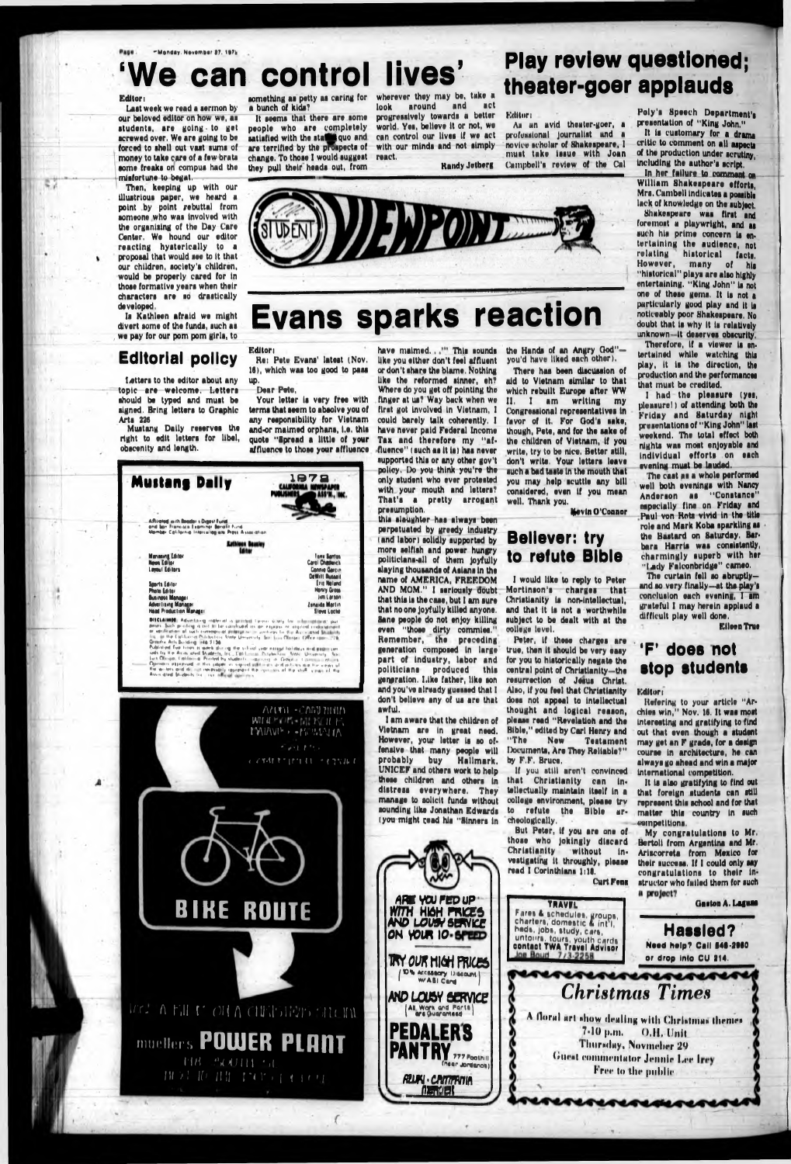# can control lives'

#### Editor i

Last week we read a eennon by our beloved editor on how we, as students, are going to get acrewed over. We are going to be forced to shell out vast sums of money to take care of a few brata some freaka on compua had the mlafortune to begat.

Letters to the editor about any topic are welcome. Letters should be typed and must be signed. Bring letters to Oraphlc Arts 226

Then, keeping up with our Illustrious paper, we heard a point by point rebuttal from someone who waa Involved with the organising of the Day Care Center. We hound our editor reacting hysterically to a proposal that would see to It that our children, society's children, would be properly cared for In those formative years when their characters are ao drastically developed.

Is Kathleen afraid we might divert some of the funds, such as we pay for our pom pom girls, to

## **Editorial policy**

Mustang Dally reserves the right to edit letters for libel, obscenity and length.

Your letter is very free with terms that seem to abaolve you of any responsibility for Vietnam and-or maimed orphans, l.e, this quote "Spread a little of your affluence to those your affluence

a bunch of kids?

It seems that there are some people who are completely satisfied with the states quo and are terrified by the prospects of change. To those I would suggest they pull their heads out, from

something as petty as caring for wherever they may be, take a look around and act progressively towards a better world. Yes, believe It or not, we can control our lives If we act

react.

**Play review questioned;**

**theater-goer applauds**

with our minds and not simply profummional journalist and a novice **scholar** of Shakespeare, 1

Editor i



Am un avid theater-goer, a

Kandy Jetberg must take Issue with Joan Campbell's review of the Cal

# **Evans sparks reaction**

### Editor i

Hot Pete Evans' latest (Nov. 16), which was too good to pass up.

#### Dear Pete,

have maimed., " This sounds like you either don't feel affluent or don't ahare the blame. Nothing like the reformed ainner, eh?



There has been discussion of aid to Vlatnam similar to that which rebuilt Europe after WW II, I am writing my Congressional repraaantatlves In favor of It. For Ood'a sake, though, Pete, and for the aaka of the children of Vietnam, If you write, try to be nice. Better still, don't write. Your letters leave auch a bad taats In tha mouth that you may help scuttle any bill considered, even If you moan well. Thank you.

## **Believer: try** to refute **Bible**

Where do you get off pointing the finger at ua? Way back when we first got Involved In Vietnam, 1 could barely talk coherently. I have never paid Federal Income Tax and therefore my "affluence" (auch aa It Is) has never supported this or any other gov't policy, Do you think you're the only atudent who over protested

I had the pleasure (yes, pleasure!) of attending both the Friday and Saturday night presentations of "King John" last weekend. The total effect both nlghta was most enjoyable and Individual efforts on each evening must be lauded.

The caat as a whole performed well both evenings with Nancy Anderion aa "Constance" especially fine on Friday and Paul von Kota vivid In tha title role and Mark Koba sparkling as the Bastard on Saturday, Barbara Harris waa conalstantly, charmingly suparb with her "Lady Falconbridge" cameo.

The curtain fell so abruptlyand ao very finally—at tha play's conclusion each evening, I am grateful I may herein applaud a difficult play well done,

with your mouth and letters? That's a pretty arrogant presumption. this slaughter has always been perpetuated by greedy Industry (and labor) solidly supported by more selfish and power hungry

> It la also gratifying to find out that foreign students

My congratulations to Mr, Bertolt from Argentina and Mr. Arlacorrata from Mexico for their success. If I could only say congratulations to their instructor who failed them for such a project?

## iststestests *Christmas Times*

*\* **floral art show ilcullng with (Ihrislmus llirniei** 7-10 **|un.** 0 **.**11**, Unit riitirsihiy, Novmehrr I**2**(> Guest commentator Jennie Lee Irey** Free to the public

polltlcians-all of them Joyfully slaying thouaanda of Aalana In ths name of AMERICA, FREEDOM AND MOM." I seriously doubt that this is the case, but I am sure that noons Joyfully killed anyone. Sane people do not enjoy killing even "those dirty commlea." Remember, the preceding generation composed In large part of Induatry, labor and politicians produced this generation. Like father, like son and you've already guessed that I don't believe any of ua are that awful.



### the Hands of an Angry Ood" you'd have liked each other).

I am aware that the children of Vietnam are In great need. However, your letter la ao offanalve that many people will probably buy Hallmark. UNICEF and others work to help these children and othars in that Christianity can In-

Kevin O'Connor

I would like to reply to Peter Mortinson's charges that Christianity la non-lntallectual, and that it la not a worthwhile subject to be dealt with at tha college level.

Peter, If these chargee are true, then It should be very easy for you to historically negata tha central point of Christianity—the resurrection of Jesus Christ. Also, If you feel that Christianity does not appeal to Intellectual thought and logical reason, please read "Revelation and tha Hible," edited by Carl Hanry and Testament Documents, Are They Reliable?" by F.F. Bruce.

If yuu still aren't convinced

Poly's Speech Department's presentation of "King John."

It Is customary for a drama critic to comment on all aspects of the production under scrutiny, Including the author's script.

In her failure to commant on William Shakespeare efforts, Mrs. Cambell indicates a possible lack of knowledge on the subject.

Shakespeare was first and foremost a playwright, and as such his prime concern is entertaining the audience, not<br>relating historical facts. relating historical facts, However, many of his "historical" plays are also highly entertaining. "King John" Is not one of these gems. It is not a particularly good play and it is noticeably poor Shakeapeare. No doubt that is why it is relatively unknown- It deserves obscurity. Therefore, if a viewer is entertained while watching this play, it is the direction, the production and the performances that must be credited.

Eileen True

## **\*F' doee not atop etudenta**

Editor i

Itefering to your article "Archies win," Nov. 16. It was most Interesting and gratifying to find out that evan though a student may get an F grade, for a design courae In architecture, ha can always go ahead and win a major International competition.

represent this school and for that matter this country In such competitions.

»

**Hassled?** Need help? Call 546-2980 or drop Into CU 214.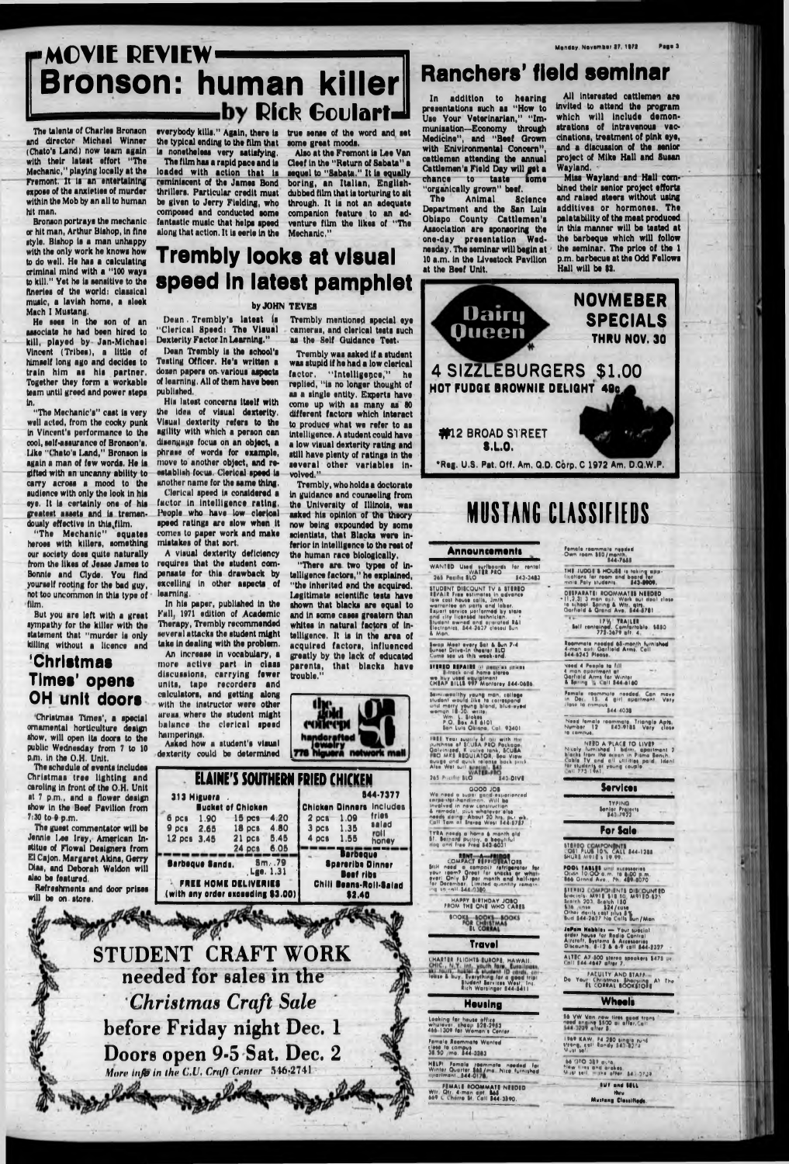## **Bronson: human killer** by Rick Goulart **MOVIE REVIEW** MONDAY AND MONDAY. November 27, 1972

The talents of Charles Bronson and director Michael Winner (Chato'a Land) now team again with their latest effort "The Mechanic," playing locally at the Fremont. It la an entertaining expose of the anxieties of murder within the Mob by an all to human hit man.

Bronson portrays the mechanic or hit man, Arthur Bishop, In fine style. Bishop is a man unhappy with the only work he knows how to do well. He has a calculating criminal mind with a "100 ways to kill." Yet he Is sensitive to the fineries of the world: classical music, a lavish home, a sleek Mach I Mustang.

He sees In the son of an associate he had been hired to kill, played by Jan-Mlchaal Vincent (Tribes), a little of himself long ago and decides to train him as his partner, Together they form a workable team until greed and power steps In.

"The Mechanic's" cast is very well acted, from the cocky punk In Vincent's performance to the cool, self-assurance of Bronson's. Uke "('halo's Land," Bronson Is again a man of few worda. He is gifted with an uncanny ability to carry across a mood to the audience with only the look In his eye. It Is certainly one of his greatest asaeta and la tremendously effective in this film.

The schedule of events Includes Christmas tree lighting and caroling in front of the O.H. Unit

the typical ending to the film that aome great moods. la nonetheless very satisfying. The film has a rapid pace and is

"The Mechanic" equates heroes with killers, something our society does quite naturally from the likes of Jesse James to Bonnie and Clyde, You find yourself rooting for the bad guy, not too uncommon In this type of film,

But you are left with a groat sympathy for the killer with the statement that "murder is only killing without a licence and

## **'Christmas Times' opens OH unit doors**

Christmas Times', a special ornamental horticulture design show, will open Its doors to the public Wednesday from 7 to 10 p m, in the O.H. Unit.

at 7 pm,, and a flower design show in the Beef Pavilion from 7:30 to 9 p.m.

The guest commentator will be Jennie Lee Irey, American Instilus of Plowal Designers from El Cajon. Margaret Akins, Oerry Dias, and Deborah Weldon will also be featured. Refreshments and door prises

**313 Hlguara . Buckat of Chlokan 6 pci 1.90 19 pcs 4.20 9 pci 2.65 18 pcs 4.80 12 pci 3.45 21 pci 5.45 24£<a ^ ^ 0 5 Chicken Dinners Includes**<br>2 pcs 1 09 fries **Barbaque Sands. 3m, .79** Lge. 1.31 **FREE HOME DELIVERIES** 

**™ ISrbaqur" •pararlbs Dlnnar Baaf riba Chill Baana-Roll-Salad \$2.40** (with any order exceeding \$3.00)

will bo on store.

## **Trembly looks at visual** speed in latest pamphlet

In addition to hearing presentations such as "How to Use Your Veterinarian," "Immunisation—Economy through Medicine", and "Beef Grown with Environmental Concern", cattlemen attending the annual Cattlemen's Field Day will get a chance to taate aome "organically grown" beef.<br>The Animal Science

loaded with action that la reminiscent of the James Bond thrillers. Particular credit must be given to Jerry Fielding, who composed and conducted aome fantastic music that helps apeed along that action. It Is eerie In the

everybody kills." Again, there is a true sense of the word and set

Animal Department and the San Lula Obispo County Cattlemen's Association are sponsoring the one-day preaentatlon Wednesday. Hie seminar will begin at 10 a.m. in the Livestock Pavilion at the Beef Unit.

Also at the Fremont la Lee Van Cloef In the "Return of Sabata" a sequel to "Sabata." It is equally boring, an Italian, Englishdubbed film that la torturing to alt through. It la not an adequate companion feature to an adventure film the likes of "The Mechanic,"

## **Ranchers' field seminar**

Trembly mentioned special eye cameras, and clerical teats such as the Self Guidance Test.

by JOHN TEVE8 Dean , Trembly's latest Is "Clerical Speed: The Visual Dexterity Factor In Learning,"

Dean Trembly la the school's Testing Officer. He's written a dozen papers om various aspects of learning, All of them have been published..

His latest concerns Itself with the Idea of visual dexterity. Visual dexterity refers to the agility with which a person can disengage focus on an object, a phrase of words for example, move to another object, and reestablish focus. Clerical speed la unother name for the same thing.

> "There are two types of intelligence factors," he explained, "the Inherited end the acquired, legitimate scientific tests have shown that blacks are equal to and in some cases greatern than whites in natural factors of Intelligence. It la in the area of acquired factors, Influenced greatly by the lack of educated parents, that blacks have trouble."



**2 pcs** 1.09 fries 3 pcs 1.35 **Figure**<br>4 pcs 1.55 **honey** 

Clerical speed Is considered a factor in intelligence rating. Paopla who have low clerical speed ratings are slow when It comes to paper work and make mistakes of that sort.

A visual dexterity deficiency requires that the student compensate for this drawback by excelling In other aspects of learning. •

In hls paper, published in the Fall, 1071 edition of Academic Therapy, Trembly recommended several attacks the student might take in dealing with the problem.

An Increase In vocabulary, a more active part in class discussions, carrying fewer units, tape recorders and calculators, and getting along with the instructor were other areas where the student might balance the clerical speed hamperings. Asked how a student's visual

dexterity could be determined

**ELAINE'S SOUTHERN FRIED CHICKEN**

Need 4 3aoplo la (III 4 man apartment at<br>Oarfield Arms for Winter<br>A Spring '', Call 544 a160

**844-7377**

**4 pea 1,55 honay**

**rnaa veer supriy of an with the**<br>purchase of SCURA PRO Package,<br>Oolyinized, K vulva lank, SCUSA . . . . .upply bl ... .. purennet ot R U IA 4 oikau lolylni.ed, vulve lank. ICUlA «o Mrs RIOUlATOa, leu view auuge and quick telenet b a ik p.i.k Alio Wei lull

**265 Prictiful HLO \* \* 543 DIVE** 

**STUDENT CRAFT WORK needed for sales in the "** *Christmas Craft Sale* **before Friday night Dec. 1 Doors open 9-5 Sat. Dec. 2** *More info in the C,U, Cruft Center* 546:2741

We need a lupei gand-experienced<br>snrpawigr-hand man, Will bo<br>Involved in new centiruction<br>4 remedel, piui whatever elip<br>need, domg About 30 hrs, put yvk<br>Call Tom nt Sierra Wesi 344-5737

TYRA needs a heme & manth aid<br>51. Bernard puriny, a beautiful<br>dog and free Fred 543-6031 6 menth eli<br>i beautiful<br>i3 6031

COMPACT REPROTRATORE Still need a compact refrigerate<br>your reem? Oreat for snacks or v<br>ever<u>i</u> Only \$7 per month and hal Mill need a campact rafrigerator<br>your ream? Orest for snacks or w<br>ever! Only \$7 per manth and half<br>for December. Limited quantity ren<br>ing sa<sub>c</sub>raff-344-0380. aritt need a compact refrigereter for<br>your renm? Oreet for snocks or wire:<br>everi Only \$7 per month and half-rent<br>for December. Limited quantity remain:

MAPPY BIRTHDAY JOBO

BOOKI BO **f** fl co

CHARTER FLIOHTS EUROPE, HAWAII, lowse & buy, Ivarything for a good trip!<br>- Bludent Services West, Inc.<br>- Rich Warsinger 844-5411

All interested cattlemen are Invited to attend the program which will include demonstrations of intravenous vaccinations, treatment of pink eye, and a discussion of the senior project of Mike Hall and Susan Wayland. •

Mias Wayland and Hall combined their senior project efforts and raised steers without using additives or hormones. The polatability of the meat produced In this manner will be tested at the barbeque which will follow the seminar. The price of the 1 p.m. barbecue at the Odd Fellows

> **RUY** and HILL thru

Mustang Classifieds

Trembly was asked If a student was stupid if he had a low clerical factor. "Intelligence," he replied, "is no longer thought of as a single entity. Experts have come up with as many as 80 different factors which interact to produce what we refer to aa Intelligence. A student could have a low visual dexterity rating and atill have plenty of ratings in the several other variables Involved."

Trembly, who holds a doctorate in guidance and counseling from the University of Illinois, was asked his opinion of the theory now being expounded by some scientists, that Blacks were inferior in Intelligence to the rest of the human race biologically.



## MUSTANG CLASSIFIEDS

#### **Announcement!**

WANTED Used surfacerds for rental<br>VATER PRO 343.3483

STUDENT DISCOUNT TV & STEREO<br>REVAIR Fran estimates in gevenue<br>low cost house calls, Jmh<br>warrantee on parts and labor.<br>Warrantee on parts and labor.<br>Engert service performed by state.<br>Bludent swind and operated R&I<br>Bludent

Swap Meet every Sat & Sun 7-4<br>Sunset Drive-In theater SLO<br>Come see us this week-end,

111110 1174111 și provins prims<br>- - - Heack and homo Diero<br>wo huy uiod equip!mont<br>CHIAP BILLS 997 Montersy 444-0604

Bami waalihy young man, callage<br>Studont would like to cerraspend und marry young blond, blue eyed<br>womgn lt -30, witte<br>- Wm, L. Stokes<br>- P.O. Bex All 6101<br>- Son Luts Obispe, Cal. 93401

Wm. L. Slokes<br>P.O. Bex At 6101

female raommot\* n.ad.d Own loom ISO /month 144-3411

THE JUDGE'S HOUSE is taking app-<br>lications far room and board for<br>male Poly students : - 543-0004.

DEIPARATEI ROOMMATES NEEDED • (1,2,3) 3 man apt. Work out deal clase<br>| ta scheel, Spring & Wtr, qirs,<br>| Oarfield & Grand Ave, 644-8781

tell contained. Comfertable. \$880<br>772-3674 aft. 4.

Raammala needed 65-manth furnishad<br>4-man apt, Oerfield Arms. Call<br>544-6243 Please.

Female reommule needed Can move m Oe, 15 4 girl apartment, Very -leie le rnmput, \_\_\_\_\_\_\_\_\_\_\_\_\_ 544 4031

Need lemale reemmale Triengle Apts.<br>Number 12 - 543-9185 Very close<br>ie compus.

NEED A PLACE TO LIVE?<br>Nicely furnished I bdm: apairment 2<br>hlech from the otean in Pisma Bench.<br>Calls TV and all utilities paid, Ident<br>for students or young couple.<br>Call 773-1961

0000 JOI

**Sorvlcos**

### **For Solo**

VOH FLUB 10% CALL 844-1288<br>Smure moie & 19,99

POOL TABLES UP I HILEONARIOS<br>Orion 10.00 a.m. to 6.00 p.m.<br>866 Grand Ave., Ph. 489-8070

**STIFFIC COMPOT INTS DISCOUNTED**<br>Anothis: M918 State 180<br>Anothis: 201, Braith 180<br>State: denis cost plus BY<br>Other denis costs plus By<br>Bud 844-2027 No Colls Bun/Men

JaPam Habbis: — Your special **Travel** 3333 **the reduction of the Section 12 and 1333**<br> **Travel** 3333 **Discounts 4:13 4 4:2333** 

ALTEC A7-800 stores spoakers \$475 pt.<br>Coll 944-4647 after 7.

**EXACULTY AND STAFF EL CORRAL BOOKSTONS** 

### **\_\_\_\_\_Housing**

Laaking far hause affice<br>whutever, sheap 528-2453<br>446-1309 far Women's Center

Female Reemmate Wanted<br>cless to compus<br>38.30 <sub>.</sub> me. 544-3383

HELFI Female roommate needed far<br>Winter Quarter \$65/ma. Nice furnished<br>iiparlmanl ...544-0176

WIF FEMALE ROOMMATE NEEDED<br>WIF QIF 4-man apt. 845<br>669 C Cherre Br Call 344-3340.

**TYPING** tenier Projects<br>143 7922

### Whooli

36 VW Van new lires good trans<br>need engine \$500 a affer,Call<br>1739 alter B.

!»A® KAW, F4 250 single rund<br>Vreng, call Randy 543-8274<br>Musi se!

-64 970 389 wuta<br><sup>Nia</sup>w lires and mighes<br>Musi sell - ska alfer, <u>A43-97</u>38